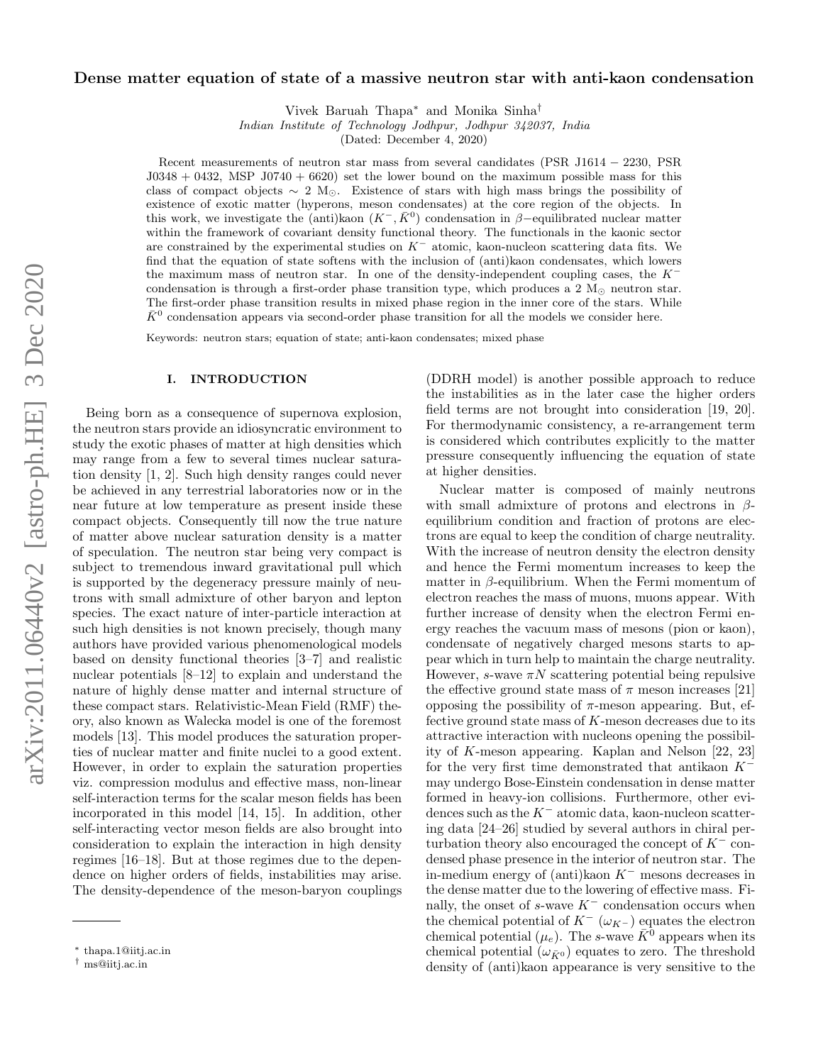# arXiv:2011.06440v2 [astro-ph.HE] 3 Dec 2020 arXiv:2011.06440v2 [astro-ph.HE] 3 Dec 2020

# Dense matter equation of state of a massive neutron star with anti-kaon condensation

Vivek Baruah Thapa<sup>∗</sup> and Monika Sinha†

Indian Institute of Technology Jodhpur, Jodhpur 342037, India

(Dated: December 4, 2020)

Recent measurements of neutron star mass from several candidates (PSR J1614 − 2230, PSR  $J0348 + 0432$ , MSP  $J0740 + 6620$  set the lower bound on the maximum possible mass for this class of compact objects  $\sim 2 \text{ M}_{\odot}$ . Existence of stars with high mass brings the possibility of existence of exotic matter (hyperons, meson condensates) at the core region of the objects. In this work, we investigate the (anti)kaon  $(K^-,\bar{K}^0)$  condensation in β–equilibrated nuclear matter within the framework of covariant density functional theory. The functionals in the kaonic sector are constrained by the experimental studies on  $K^-$  atomic, kaon-nucleon scattering data fits. We find that the equation of state softens with the inclusion of (anti)kaon condensates, which lowers the maximum mass of neutron star. In one of the density-independent coupling cases, the K<sup>−</sup> condensation is through a first-order phase transition type, which produces a 2  $M_{\odot}$  neutron star. The first-order phase transition results in mixed phase region in the inner core of the stars. While  $\bar{K}^0$  condensation appears via second-order phase transition for all the models we consider here.

Keywords: neutron stars; equation of state; anti-kaon condensates; mixed phase

# I. INTRODUCTION

Being born as a consequence of supernova explosion, the neutron stars provide an idiosyncratic environment to study the exotic phases of matter at high densities which may range from a few to several times nuclear saturation density [1, 2]. Such high density ranges could never be achieved in any terrestrial laboratories now or in the near future at low temperature as present inside these compact objects. Consequently till now the true nature of matter above nuclear saturation density is a matter of speculation. The neutron star being very compact is subject to tremendous inward gravitational pull which is supported by the degeneracy pressure mainly of neutrons with small admixture of other baryon and lepton species. The exact nature of inter-particle interaction at such high densities is not known precisely, though many authors have provided various phenomenological models based on density functional theories [3–7] and realistic nuclear potentials [8–12] to explain and understand the nature of highly dense matter and internal structure of these compact stars. Relativistic-Mean Field (RMF) theory, also known as Walecka model is one of the foremost models [13]. This model produces the saturation properties of nuclear matter and finite nuclei to a good extent. However, in order to explain the saturation properties viz. compression modulus and effective mass, non-linear self-interaction terms for the scalar meson fields has been incorporated in this model [14, 15]. In addition, other self-interacting vector meson fields are also brought into consideration to explain the interaction in high density regimes [16–18]. But at those regimes due to the dependence on higher orders of fields, instabilities may arise. The density-dependence of the meson-baryon couplings

(DDRH model) is another possible approach to reduce the instabilities as in the later case the higher orders field terms are not brought into consideration [19, 20]. For thermodynamic consistency, a re-arrangement term is considered which contributes explicitly to the matter pressure consequently influencing the equation of state at higher densities.

Nuclear matter is composed of mainly neutrons with small admixture of protons and electrons in  $\beta$ equilibrium condition and fraction of protons are electrons are equal to keep the condition of charge neutrality. With the increase of neutron density the electron density and hence the Fermi momentum increases to keep the matter in  $\beta$ -equilibrium. When the Fermi momentum of electron reaches the mass of muons, muons appear. With further increase of density when the electron Fermi energy reaches the vacuum mass of mesons (pion or kaon), condensate of negatively charged mesons starts to appear which in turn help to maintain the charge neutrality. However, s-wave  $\pi N$  scattering potential being repulsive the effective ground state mass of  $\pi$  meson increases [21] opposing the possibility of π-meson appearing. But, effective ground state mass of  $K$ -meson decreases due to its attractive interaction with nucleons opening the possibility of K-meson appearing. Kaplan and Nelson [22, 23] for the very first time demonstrated that antikaon  $K^$ may undergo Bose-Einstein condensation in dense matter formed in heavy-ion collisions. Furthermore, other evidences such as the  $K^-$  atomic data, kaon-nucleon scattering data [24–26] studied by several authors in chiral perturbation theory also encouraged the concept of  $K^-$  condensed phase presence in the interior of neutron star. The in-medium energy of (anti)kaon  $K^-$  mesons decreases in the dense matter due to the lowering of effective mass. Finally, the onset of s-wave  $K^-$  condensation occurs when the chemical potential of  $K^-$  ( $\omega_{K^-}$ ) equates the electron chemical potential  $(\mu_e)$ . The s-wave  $\bar{K}^0$  appears when its chemical potential  $(\omega_{\bar{K}^0})$  equates to zero. The threshold density of (anti)kaon appearance is very sensitive to the

<sup>∗</sup> thapa.1@iitj.ac.in

<sup>†</sup> ms@iitj.ac.in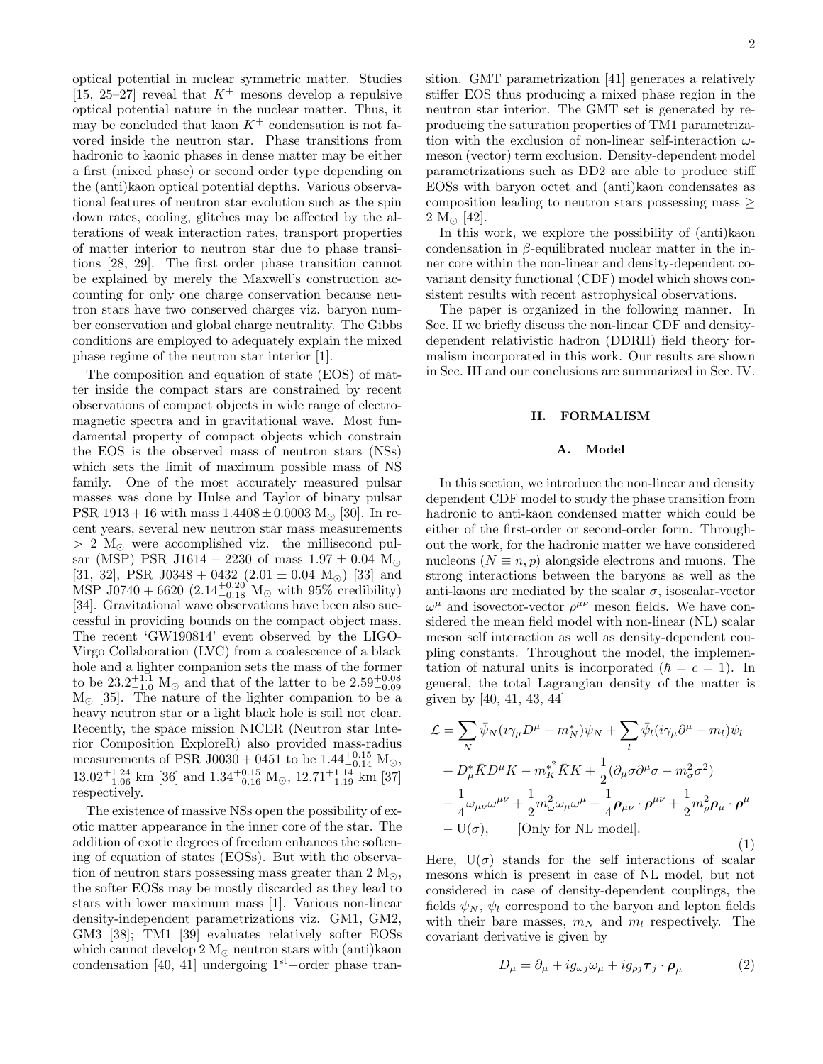optical potential in nuclear symmetric matter. Studies [15, 25–27] reveal that  $K^+$  mesons develop a repulsive optical potential nature in the nuclear matter. Thus, it may be concluded that kaon  $K^+$  condensation is not favored inside the neutron star. Phase transitions from hadronic to kaonic phases in dense matter may be either a first (mixed phase) or second order type depending on the (anti)kaon optical potential depths. Various observational features of neutron star evolution such as the spin down rates, cooling, glitches may be affected by the alterations of weak interaction rates, transport properties of matter interior to neutron star due to phase transitions [28, 29]. The first order phase transition cannot be explained by merely the Maxwell's construction accounting for only one charge conservation because neutron stars have two conserved charges viz. baryon number conservation and global charge neutrality. The Gibbs conditions are employed to adequately explain the mixed phase regime of the neutron star interior [1].

The composition and equation of state (EOS) of matter inside the compact stars are constrained by recent observations of compact objects in wide range of electromagnetic spectra and in gravitational wave. Most fundamental property of compact objects which constrain the EOS is the observed mass of neutron stars (NSs) which sets the limit of maximum possible mass of NS family. One of the most accurately measured pulsar masses was done by Hulse and Taylor of binary pulsar PSR 1913+16 with mass  $1.4408 \pm 0.0003$  M<sub> $\odot$ </sub> [30]. In recent years, several new neutron star mass measurements  $> 2$  M<sub> $\odot$ </sub> were accomplished viz. the millisecond pulsar (MSP) PSR J1614 – 2230 of mass  $1.97 \pm 0.04$  M<sub>o</sub> [31, 32], PSR J0348 + 0432 (2.01  $\pm$  0.04 M<sub>☉</sub>) [33] and MSP J0740 + 6620  $(2.14_{-0.18}^{+0.20} \text{ M}_{\odot}$  with 95% credibility) [34]. Gravitational wave observations have been also successful in providing bounds on the compact object mass. The recent 'GW190814' event observed by the LIGO-Virgo Collaboration (LVC) from a coalescence of a black hole and a lighter companion sets the mass of the former to be  $23.2^{+1.1}_{-1.0}$  M<sub>☉</sub> and that of the latter to be  $2.59^{+0.08}_{-0.09}$  $M_{\odot}$  [35]. The nature of the lighter companion to be a heavy neutron star or a light black hole is still not clear. Recently, the space mission NICER (Neutron star Interior Composition ExploreR) also provided mass-radius measurements of PSR J0030 + 0451 to be  $1.44_{-0.14}^{+0.15}$  M<sub>☉</sub>,  $13.02_{-1.06}^{+1.24}$  km [36] and  $1.34_{-0.16}^{+0.15}$  M<sub>☉</sub>,  $12.71_{-1.19}^{+1.14}$  km [37] respectively.

The existence of massive NSs open the possibility of exotic matter appearance in the inner core of the star. The addition of exotic degrees of freedom enhances the softening of equation of states (EOSs). But with the observation of neutron stars possessing mass greater than  $2 M_{\odot}$ , the softer EOSs may be mostly discarded as they lead to stars with lower maximum mass [1]. Various non-linear density-independent parametrizations viz. GM1, GM2, GM3 [38]; TM1 [39] evaluates relatively softer EOSs which cannot develop  $2 M_{\odot}$  neutron stars with (anti)kaon condensation [40, 41] undergoing 1st−order phase transition. GMT parametrization [41] generates a relatively stiffer EOS thus producing a mixed phase region in the neutron star interior. The GMT set is generated by reproducing the saturation properties of TM1 parametrization with the exclusion of non-linear self-interaction  $\omega$ meson (vector) term exclusion. Density-dependent model parametrizations such as DD2 are able to produce stiff EOSs with baryon octet and (anti)kaon condensates as composition leading to neutron stars possessing mass ≥  $2 M_{\odot}$  [42].

In this work, we explore the possibility of (anti)kaon condensation in  $\beta$ -equilibrated nuclear matter in the inner core within the non-linear and density-dependent covariant density functional (CDF) model which shows consistent results with recent astrophysical observations.

The paper is organized in the following manner. In Sec. II we briefly discuss the non-linear CDF and densitydependent relativistic hadron (DDRH) field theory formalism incorporated in this work. Our results are shown in Sec. III and our conclusions are summarized in Sec. IV.

# II. FORMALISM

# A. Model

In this section, we introduce the non-linear and density dependent CDF model to study the phase transition from hadronic to anti-kaon condensed matter which could be either of the first-order or second-order form. Throughout the work, for the hadronic matter we have considered nucleons ( $N \equiv n, p$ ) alongside electrons and muons. The strong interactions between the baryons as well as the anti-kaons are mediated by the scalar  $\sigma$ , isoscalar-vector  $\omega^{\mu}$  and isovector-vector  $\rho^{\mu\nu}$  meson fields. We have considered the mean field model with non-linear (NL) scalar meson self interaction as well as density-dependent coupling constants. Throughout the model, the implementation of natural units is incorporated  $(\hbar = c = 1)$ . In general, the total Lagrangian density of the matter is given by [40, 41, 43, 44]

$$
\mathcal{L} = \sum_{N} \bar{\psi}_{N} (i\gamma_{\mu} D^{\mu} - m_{N}^{*}) \psi_{N} + \sum_{l} \bar{\psi}_{l} (i\gamma_{\mu} \partial^{\mu} - m_{l}) \psi_{l} \n+ D_{\mu}^{*} \bar{K} D^{\mu} K - m_{K}^{*} \bar{K} K + \frac{1}{2} (\partial_{\mu} \sigma \partial^{\mu} \sigma - m_{\sigma}^{2} \sigma^{2}) \n- \frac{1}{4} \omega_{\mu\nu} \omega^{\mu\nu} + \frac{1}{2} m_{\omega}^{2} \omega_{\mu} \omega^{\mu} - \frac{1}{4} \rho_{\mu\nu} \cdot \rho^{\mu\nu} + \frac{1}{2} m_{\rho}^{2} \rho_{\mu} \cdot \rho^{\mu} \n- U(\sigma), \qquad \text{[Only for NL model]}.
$$
\n(1)

Here,  $U(\sigma)$  stands for the self interactions of scalar mesons which is present in case of NL model, but not considered in case of density-dependent couplings, the fields  $\psi_N$ ,  $\psi_l$  correspond to the baryon and lepton fields with their bare masses,  $m_N$  and  $m_l$  respectively. The covariant derivative is given by

$$
D_{\mu} = \partial_{\mu} + ig_{\omega j}\omega_{\mu} + ig_{\rho j}\boldsymbol{\tau}_j \cdot \boldsymbol{\rho}_{\mu}
$$
 (2)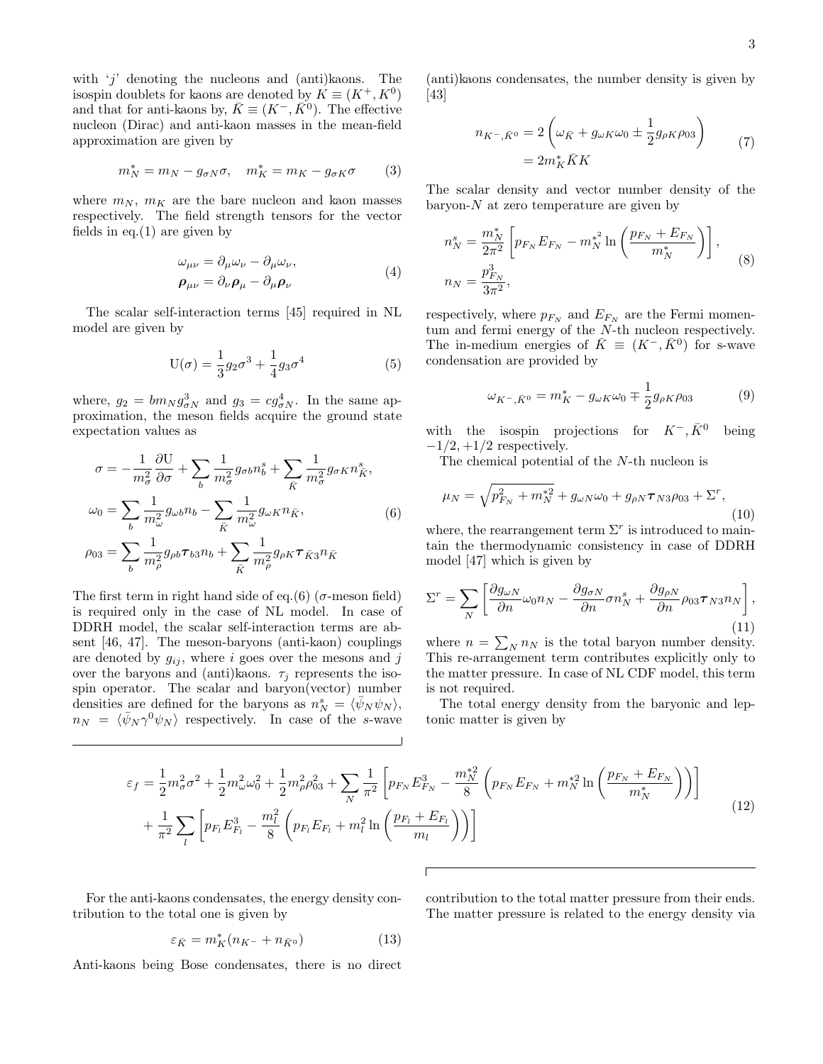with  $'j'$  denoting the nucleons and (anti)kaons. The isospin doublets for kaons are denoted by  $K \equiv (K^+, K^0)$ and that for anti-kaons by,  $\bar{K} \equiv (K^-, \bar{K}^0)$ . The effective nucleon (Dirac) and anti-kaon masses in the mean-field approximation are given by

$$
m_N^* = m_N - g_{\sigma N} \sigma, \quad m_K^* = m_K - g_{\sigma K} \sigma \qquad (3)
$$

where  $m_N$ ,  $m_K$  are the bare nucleon and kaon masses respectively. The field strength tensors for the vector fields in eq.  $(1)$  are given by

$$
\omega_{\mu\nu} = \partial_{\mu}\omega_{\nu} - \partial_{\mu}\omega_{\nu}, \n\rho_{\mu\nu} = \partial_{\nu}\rho_{\mu} - \partial_{\mu}\rho_{\nu}
$$
\n(4)

The scalar self-interaction terms [45] required in NL model are given by

$$
U(\sigma) = \frac{1}{3}g_2\sigma^3 + \frac{1}{4}g_3\sigma^4
$$
 (5)

where,  $g_2 = bm_N g_{\sigma N}^3$  and  $g_3 = cg_{\sigma N}^4$ . In the same approximation, the meson fields acquire the ground state expectation values as

$$
\sigma = -\frac{1}{m_{\sigma}^2} \frac{\partial U}{\partial \sigma} + \sum_{b} \frac{1}{m_{\sigma}^2} g_{\sigma b} n_b^s + \sum_{\bar{K}} \frac{1}{m_{\sigma}^2} g_{\sigma K} n_{\bar{K}}^s,
$$
  

$$
\omega_0 = \sum_{b} \frac{1}{m_{\omega}^2} g_{\omega b} n_b - \sum_{\bar{K}} \frac{1}{m_{\omega}^2} g_{\omega K} n_{\bar{K}},
$$
  

$$
\rho_{03} = \sum_{b} \frac{1}{m_{\rho}^2} g_{\rho b} \tau_{b3} n_b + \sum_{\bar{K}} \frac{1}{m_{\rho}^2} g_{\rho K} \tau_{\bar{K}3} n_{\bar{K}}
$$
(6)

The first term in right hand side of eq.(6) ( $\sigma$ -meson field) is required only in the case of NL model. In case of DDRH model, the scalar self-interaction terms are absent [46, 47]. The meson-baryons (anti-kaon) couplings are denoted by  $g_{ij}$ , where i goes over the mesons and j over the baryons and (anti)kaons.  $\tau_i$  represents the isospin operator. The scalar and baryon(vector) number densities are defined for the baryons as  $n_N^s = \langle \bar{\psi}_N \psi_N \rangle$ ,  $n_N = \langle \bar{\psi}_N \gamma^0 \psi_N \rangle$  respectively. In case of the s-wave

(anti)kaons condensates, the number density is given by [43]

$$
n_{K^{-},\bar{K}^{0}} = 2\left(\omega_{\bar{K}} + g_{\omega K}\omega_{0} \pm \frac{1}{2}g_{\rho K}\rho_{03}\right)
$$
  
=  $2m_{K}^{*}\bar{K}K$  (7)

The scalar density and vector number density of the baryon- $N$  at zero temperature are given by

$$
n_N^s = \frac{m_N^*}{2\pi^2} \left[ p_{F_N} E_{F_N} - m_N^{*^2} \ln \left( \frac{p_{F_N} + E_{F_N}}{m_N^*} \right) \right],
$$
  

$$
n_N = \frac{p_{F_N}^3}{3\pi^2},
$$
 (8)

respectively, where  $p_{F_N}$  and  $E_{F_N}$  are the Fermi momentum and fermi energy of the N-th nucleon respectively. The in-medium energies of  $\bar{K} \equiv (K^-, \bar{K}^0)$  for s-wave condensation are provided by

$$
\omega_{K^{-},\bar{K}^{0}} = m_{K}^{*} - g_{\omega K} \omega_{0} \mp \frac{1}{2} g_{\rho K} \rho_{03}
$$
 (9)

with the isospin projections for  $K^-$ ,  $\bar{K}^0$  being  $-1/2$ ,  $+1/2$  respectively.

The chemical potential of the N-th nucleon is

$$
\mu_N = \sqrt{p_{F_N}^2 + m_N^{*2} + g_{\omega N} \omega_0 + g_{\rho N} \tau_{N3} \rho_{03} + \Sigma^r},\tag{10}
$$

where, the rearrangement term  $\Sigma^r$  is introduced to maintain the thermodynamic consistency in case of DDRH model [47] which is given by

$$
\Sigma^r = \sum_N \left[ \frac{\partial g_{\omega N}}{\partial n} \omega_0 n_N - \frac{\partial g_{\sigma N}}{\partial n} \sigma n_N^s + \frac{\partial g_{\rho N}}{\partial n} \rho_{03} \tau_{N3} n_N \right],\tag{11}
$$

where  $n = \sum_{N} n_N$  is the total baryon number density. This re-arrangement term contributes explicitly only to the matter pressure. In case of NL CDF model, this term is not required.

The total energy density from the baryonic and leptonic matter is given by

$$
\varepsilon_{f} = \frac{1}{2} m_{\sigma}^{2} \sigma^{2} + \frac{1}{2} m_{\omega}^{2} \omega_{0}^{2} + \frac{1}{2} m_{\rho}^{2} \rho_{03}^{2} + \sum_{N} \frac{1}{\pi^{2}} \left[ p_{F_{N}} E_{F_{N}}^{3} - \frac{m_{N}^{*2}}{8} \left( p_{F_{N}} E_{F_{N}} + m_{N}^{*2} \ln \left( \frac{p_{F_{N}} + E_{F_{N}}}{m_{N}^{*}} \right) \right) \right] + \frac{1}{\pi^{2}} \sum_{l} \left[ p_{F_{l}} E_{F_{l}}^{3} - \frac{m_{l}^{2}}{8} \left( p_{F_{l}} E_{F_{l}} + m_{l}^{2} \ln \left( \frac{p_{F_{l}} + E_{F_{l}}}{m_{l}} \right) \right) \right]
$$
(12)

For the anti-kaons condensates, the energy density contribution to the total one is given by

$$
\varepsilon_{\bar{K}} = m_K^*(n_{K^-} + n_{\bar{K}^0})
$$
\n(13)

Anti-kaons being Bose condensates, there is no direct

contribution to the total matter pressure from their ends. The matter pressure is related to the energy density via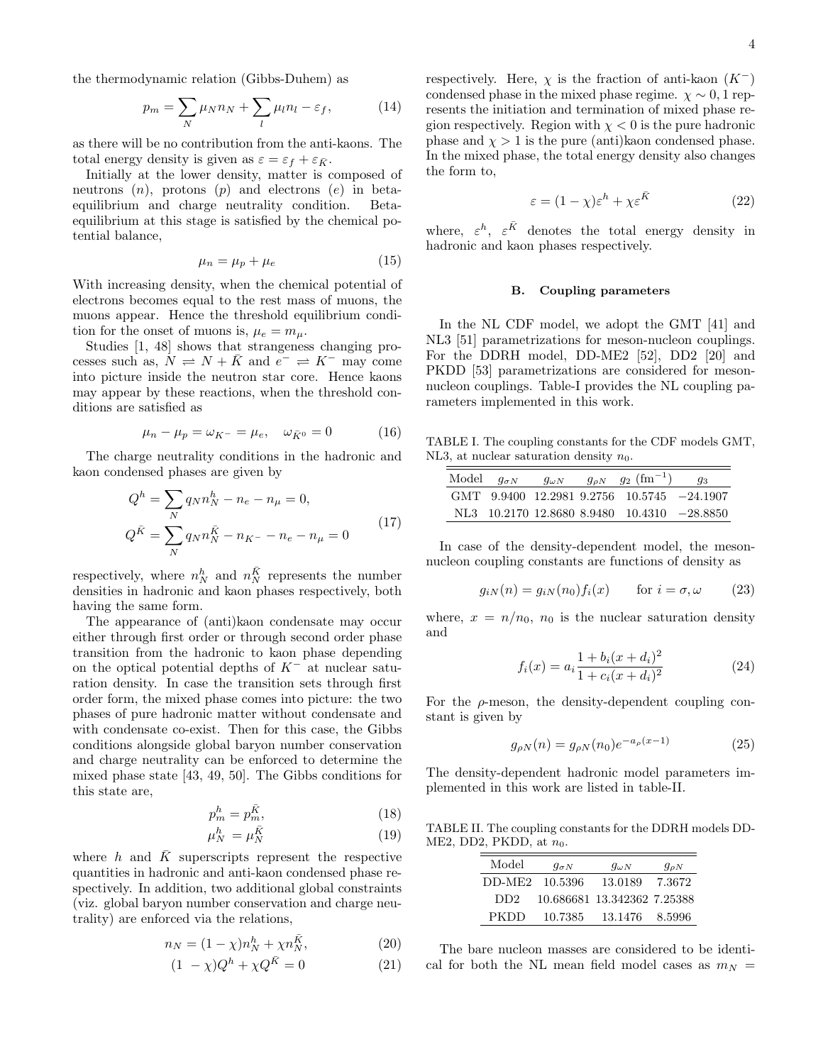the thermodynamic relation (Gibbs-Duhem) as

$$
p_m = \sum_N \mu_N n_N + \sum_l \mu_l n_l - \varepsilon_f, \qquad (14)
$$

as there will be no contribution from the anti-kaons. The total energy density is given as  $\varepsilon = \varepsilon_f + \varepsilon_{\bar{K}}$ .

Initially at the lower density, matter is composed of neutrons  $(n)$ , protons  $(p)$  and electrons  $(e)$  in betaequilibrium and charge neutrality condition. Betaequilibrium at this stage is satisfied by the chemical potential balance,

$$
\mu_n = \mu_p + \mu_e \tag{15}
$$

With increasing density, when the chemical potential of electrons becomes equal to the rest mass of muons, the muons appear. Hence the threshold equilibrium condition for the onset of muons is,  $\mu_e = m_\mu$ .

Studies [1, 48] shows that strangeness changing processes such as,  $N \rightleftharpoons N + \bar{K}$  and  $e^- \rightleftharpoons K^-$  may come into picture inside the neutron star core. Hence kaons may appear by these reactions, when the threshold conditions are satisfied as

$$
\mu_n - \mu_p = \omega_{K^-} = \mu_e, \quad \omega_{\bar{K}^0} = 0 \tag{16}
$$

The charge neutrality conditions in the hadronic and kaon condensed phases are given by

$$
Q^{h} = \sum_{N} q_{N} n_{N}^{h} - n_{e} - n_{\mu} = 0,
$$
  
\n
$$
Q^{R} = \sum_{N} q_{N} n_{N}^{R} - n_{K^{-}} - n_{e} - n_{\mu} = 0
$$
\n(17)

respectively, where  $n_N^h$  and  $n_N^{\bar{K}}$  represents the number densities in hadronic and kaon phases respectively, both having the same form.

The appearance of (anti)kaon condensate may occur either through first order or through second order phase transition from the hadronic to kaon phase depending on the optical potential depths of  $K^-$  at nuclear saturation density. In case the transition sets through first order form, the mixed phase comes into picture: the two phases of pure hadronic matter without condensate and with condensate co-exist. Then for this case, the Gibbs conditions alongside global baryon number conservation and charge neutrality can be enforced to determine the mixed phase state [43, 49, 50]. The Gibbs conditions for this state are,

$$
p_m^h = p_m^{\bar{K}},\tag{18}
$$

$$
\mu_N^h = \mu_N^{\bar{K}} \tag{19}
$$

where h and  $\overline{K}$  superscripts represent the respective quantities in hadronic and anti-kaon condensed phase respectively. In addition, two additional global constraints (viz. global baryon number conservation and charge neutrality) are enforced via the relations,

$$
n_N = (1 - \chi)n_N^h + \chi n_N^{\bar{K}},
$$
\n(20)

$$
(1 - \chi)Q^h + \chi Q^{\bar{K}} = 0 \qquad (21)
$$

respectively. Here,  $\chi$  is the fraction of anti-kaon  $(K^-)$ condensed phase in the mixed phase regime.  $\chi \sim 0, 1$  represents the initiation and termination of mixed phase region respectively. Region with  $\chi < 0$  is the pure hadronic phase and  $\chi > 1$  is the pure (anti)kaon condensed phase. In the mixed phase, the total energy density also changes the form to,

$$
\varepsilon = (1 - \chi)\varepsilon^h + \chi \varepsilon^{\bar{K}} \tag{22}
$$

where,  $\varepsilon^h$ ,  $\varepsilon^{\bar{K}}$  denotes the total energy density in hadronic and kaon phases respectively.

### B. Coupling parameters

In the NL CDF model, we adopt the GMT [41] and NL3 [51] parametrizations for meson-nucleon couplings. For the DDRH model, DD-ME2 [52], DD2 [20] and PKDD [53] parametrizations are considered for mesonnucleon couplings. Table-I provides the NL coupling parameters implemented in this work.

TABLE I. The coupling constants for the CDF models GMT, NL3, at nuclear saturation density  $n_0$ .

| Model $q_{\sigma N}$ | $q_{\omega N}$ | $g_{\rho N}$ $g_2$ $(\text{fm}^{-1})$        | gз |
|----------------------|----------------|----------------------------------------------|----|
|                      |                | $GMT$ 9.9400 12.2981 9.2756 10.5745 -24.1907 |    |
|                      |                | NL3 10.2170 12.8680 8.9480 10.4310 -28.8850  |    |

In case of the density-dependent model, the mesonnucleon coupling constants are functions of density as

$$
g_{iN}(n) = g_{iN}(n_0) f_i(x) \quad \text{for } i = \sigma, \omega \qquad (23)
$$

where,  $x = n/n_0$ ,  $n_0$  is the nuclear saturation density and

$$
f_i(x) = a_i \frac{1 + b_i (x + d_i)^2}{1 + c_i (x + d_i)^2}
$$
 (24)

For the  $\rho$ -meson, the density-dependent coupling constant is given by

$$
g_{\rho N}(n) = g_{\rho N}(n_0) e^{-a_\rho(x-1)}
$$
\n(25)

The density-dependent hadronic model parameters implemented in this work are listed in table-II.

TABLE II. The coupling constants for the DDRH models DD-ME2, DD2, PKDD, at  $n_0$ .

| Model           | $g_{\sigma N}$ | $g_{\omega N}$              | $g_{\rho N}$ |
|-----------------|----------------|-----------------------------|--------------|
| DD-ME2          | 10.5396        | 13.0189                     | 7.3672       |
| DD <sub>2</sub> |                | 10.686681 13.342362 7.25388 |              |
| PKDD            | 10.7385        | 13.1476                     | 8.5996       |

The bare nucleon masses are considered to be identical for both the NL mean field model cases as  $m_N =$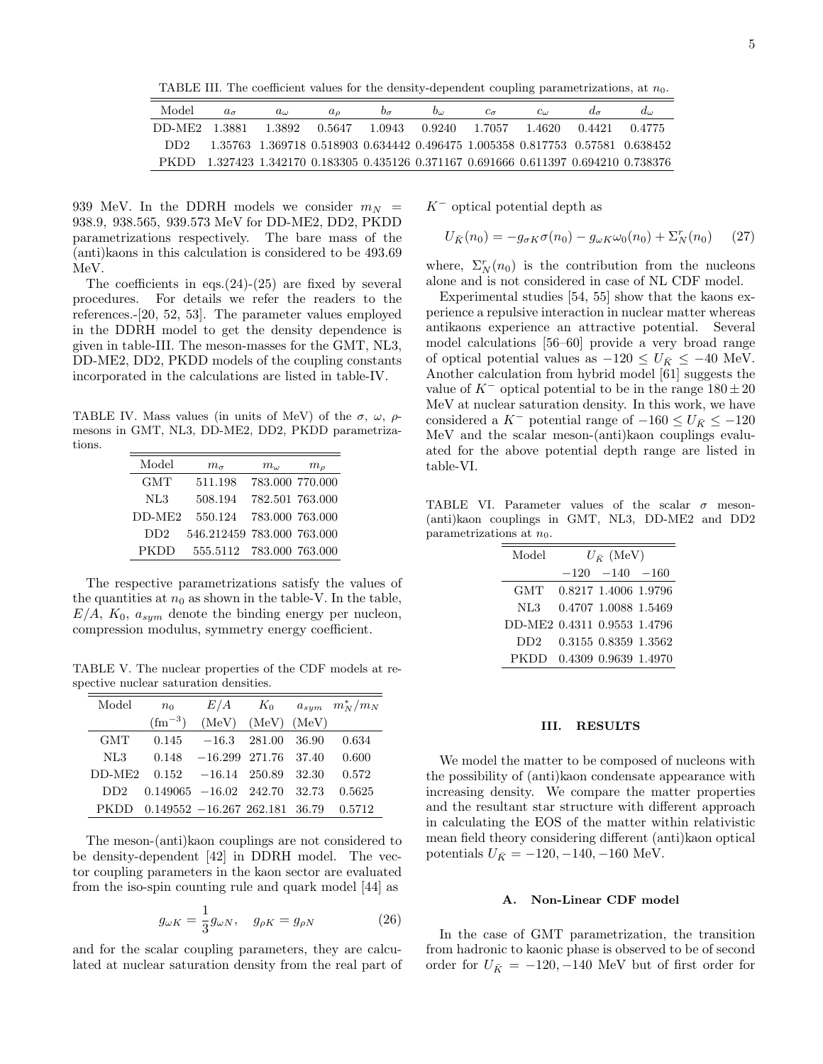TABLE III. The coefficient values for the density-dependent coupling parametrizations, at  $n_0$ .

| Model         | $a_{\sigma}$ | $a_{\omega}$ | a <sub>o</sub> | $v_{\sigma}$ | $b_{\omega}$                      | $c_{\sigma}$ | $c_{\omega}$ |        |                                                                                  |
|---------------|--------------|--------------|----------------|--------------|-----------------------------------|--------------|--------------|--------|----------------------------------------------------------------------------------|
| DD-ME2 1.3881 |              | 1.3892       | 0.5647         |              | 1.0943   0.9240   1.7057   1.4620 |              |              | 0.4421 | 0.4775                                                                           |
| DD2.          |              |              |                |              |                                   |              |              |        | 1.35763 1.369718 0.518903 0.634442 0.496475 1.005358 0.817753 0.57581 0.638452   |
| PKDD.         |              |              |                |              |                                   |              |              |        | 1.327423 1.342170 0.183305 0.435126 0.371167 0.691666 0.611397 0.694210 0.738376 |

939 MeV. In the DDRH models we consider  $m_N$  = 938.9, 938.565, 939.573 MeV for DD-ME2, DD2, PKDD parametrizations respectively. The bare mass of the (anti)kaons in this calculation is considered to be 493.69 MeV.

The coefficients in eqs. $(24)-(25)$  are fixed by several procedures. For details we refer the readers to the references.-[20, 52, 53]. The parameter values employed in the DDRH model to get the density dependence is given in table-III. The meson-masses for the GMT, NL3, DD-ME2, DD2, PKDD models of the coupling constants incorporated in the calculations are listed in table-IV.

TABLE IV. Mass values (in units of MeV) of the  $\sigma$ ,  $\omega$ ,  $\rho$ mesons in GMT, NL3, DD-ME2, DD2, PKDD parametrizations.

| Model    | $m_{\sigma}$               | $m_{\omega}$    | $m_{\it o}$ |
|----------|----------------------------|-----------------|-------------|
| GMT      | 511.198                    | 783.000 770.000 |             |
| NL3      | 508.194                    | 782.501 763.000 |             |
| $DD-ME2$ | 550.124                    | 783.000 763.000 |             |
| DD2      | 546.212459 783.000 763.000 |                 |             |
| PKDD     | 555.5112 783.000 763.000   |                 |             |

The respective parametrizations satisfy the values of the quantities at  $n_0$  as shown in the table-V. In the table,  $E/A$ ,  $K_0$ ,  $a_{sym}$  denote the binding energy per nucleon, compression modulus, symmetry energy coefficient.

TABLE V. The nuclear properties of the CDF models at respective nuclear saturation densities.

| Model           | n <sub>0</sub>                  |                             |                         | $E/A$ $K_0$ $a_{sym}$ $m_N^*/m_N$ |
|-----------------|---------------------------------|-----------------------------|-------------------------|-----------------------------------|
|                 | $\rm (fm^{-3})$                 |                             | $(MeV)$ $(MeV)$ $(MeV)$ |                                   |
| <b>GMT</b>      | 0.145                           |                             | $-16.3$ 281.00 36.90    | 0.634                             |
| NL3             | 0.148                           | $-16.299$ 271.76 37.40      |                         | 0.600                             |
| $DD-ME2$        |                                 | $0.152 -16.14$ 250.89 32.30 |                         | 0.572                             |
| DD <sub>2</sub> | $0.149065 - 16.02$ 242.70 32.73 |                             |                         | 0.5625                            |
| PKDD            | $0.149552 - 16.267262.18136.79$ |                             |                         | 0.5712                            |

The meson-(anti)kaon couplings are not considered to be density-dependent [42] in DDRH model. The vector coupling parameters in the kaon sector are evaluated from the iso-spin counting rule and quark model [44] as

$$
g_{\omega K} = \frac{1}{3} g_{\omega N}, \quad g_{\rho K} = g_{\rho N} \tag{26}
$$

and for the scalar coupling parameters, they are calculated at nuclear saturation density from the real part of  $K^-$  optical potential depth as

$$
U_{\bar{K}}(n_0) = -g_{\sigma K} \sigma(n_0) - g_{\omega K} \omega_0(n_0) + \Sigma_N^r(n_0) \qquad (27)
$$

where,  $\Sigma_N^r(n_0)$  is the contribution from the nucleons alone and is not considered in case of NL CDF model.

Experimental studies [54, 55] show that the kaons experience a repulsive interaction in nuclear matter whereas antikaons experience an attractive potential. Several model calculations [56–60] provide a very broad range of optical potential values as  $-120 \le U_{\bar{K}} \le -40$  MeV. Another calculation from hybrid model [61] suggests the value of  $K^-$  optical potential to be in the range  $180 \pm 20$ MeV at nuclear saturation density. In this work, we have considered a K<sup>-</sup> potential range of  $-160 \le U_{\bar{K}} \le -120$ MeV and the scalar meson-(anti)kaon couplings evaluated for the above potential depth range are listed in table-VI.

TABLE VI. Parameter values of the scalar  $\sigma$  meson-(anti)kaon couplings in GMT, NL3, DD-ME2 and DD2 parametrizations at  $n_0$ .

| Model                       | $U_{\bar K}$ (MeV) |                      |  |  |  |  |  |
|-----------------------------|--------------------|----------------------|--|--|--|--|--|
|                             |                    | $-120 -140 -160$     |  |  |  |  |  |
| GMT                         |                    | 0.8217 1.4006 1.9796 |  |  |  |  |  |
| NL3                         |                    | 0.4707 1.0088 1.5469 |  |  |  |  |  |
| DD-ME2 0.4311 0.9553 1.4796 |                    |                      |  |  |  |  |  |
| DD2                         |                    | 0.3155 0.8359 1.3562 |  |  |  |  |  |
| <b>PKDD</b>                 |                    | 0.4309 0.9639 1.4970 |  |  |  |  |  |

### III. RESULTS

We model the matter to be composed of nucleons with the possibility of (anti)kaon condensate appearance with increasing density. We compare the matter properties and the resultant star structure with different approach in calculating the EOS of the matter within relativistic mean field theory considering different (anti)kaon optical potentials  $U_{\bar{K}} = -120, -140, -160$  MeV.

# A. Non-Linear CDF model

In the case of GMT parametrization, the transition from hadronic to kaonic phase is observed to be of second order for  $U_{\bar K}$  = −120, −140 MeV but of first order for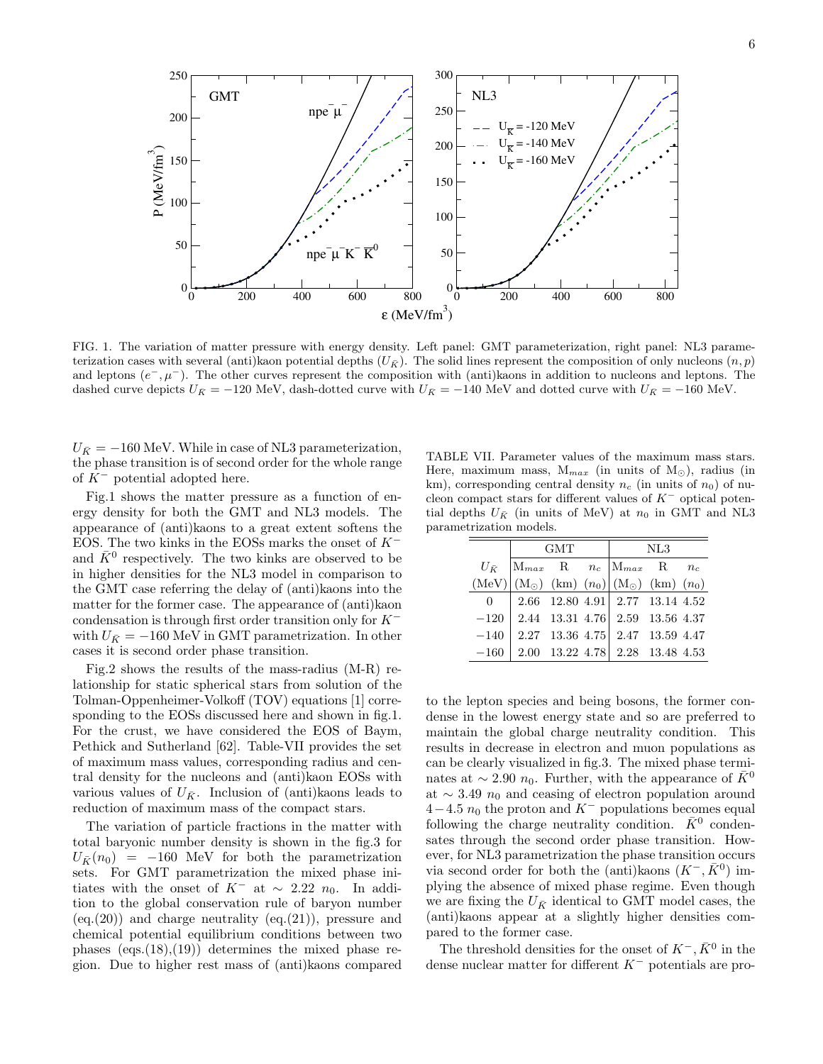

FIG. 1. The variation of matter pressure with energy density. Left panel: GMT parameterization, right panel: NL3 parameterization cases with several (anti)kaon potential depths  $(U_{\bar{K}})$ . The solid lines represent the composition of only nucleons  $(n, p)$ and leptons  $(e^-, \mu^-)$ . The other curves represent the composition with (anti)kaons in addition to nucleons and leptons. The dashed curve depicts  $U_{\bar{K}} = -120$  MeV, dash-dotted curve with  $U_{\bar{K}} = -140$  MeV and dotted curve with  $U_{\bar{K}} = -160$  MeV.

 $U_{\bar{K}} = -160$  MeV. While in case of NL3 parameterization, the phase transition is of second order for the whole range of  $K^-$  potential adopted here.

Fig.1 shows the matter pressure as a function of energy density for both the GMT and NL3 models. The appearance of (anti)kaons to a great extent softens the EOS. The two kinks in the EOSs marks the onset of  $K^$ and  $\bar{K}^0$  respectively. The two kinks are observed to be in higher densities for the NL3 model in comparison to the GMT case referring the delay of (anti)kaons into the matter for the former case. The appearance of (anti)kaon condensation is through first order transition only for K<sup>−</sup> with  $U_{\bar{K}} = -160$  MeV in GMT parametrization. In other cases it is second order phase transition.

Fig.2 shows the results of the mass-radius (M-R) relationship for static spherical stars from solution of the Tolman-Oppenheimer-Volkoff (TOV) equations [1] corresponding to the EOSs discussed here and shown in fig.1. For the crust, we have considered the EOS of Baym, Pethick and Sutherland [62]. Table-VII provides the set of maximum mass values, corresponding radius and central density for the nucleons and (anti)kaon EOSs with various values of  $U_{\bar{K}}$ . Inclusion of (anti)kaons leads to reduction of maximum mass of the compact stars.

The variation of particle fractions in the matter with total baryonic number density is shown in the fig.3 for  $U_{\bar{K}}(n_0) = -160$  MeV for both the parametrization sets. For GMT parametrization the mixed phase initiates with the onset of  $K^-$  at ~ 2.22  $n_0$ . In addition to the global conservation rule of baryon number  $(eq.(20))$  and charge neutrality  $(eq.(21))$ , pressure and chemical potential equilibrium conditions between two phases  $(eqs.(18),(19))$  determines the mixed phase region. Due to higher rest mass of (anti)kaons compared

TABLE VII. Parameter values of the maximum mass stars. Here, maximum mass,  $M_{max}$  (in units of  $M_{\odot}$ ), radius (in km), corresponding central density  $n_c$  (in units of  $n_0$ ) of nucleon compact stars for different values of  $K^-$  optical potential depths  $U_{\bar{K}}$  (in units of MeV) at  $n_0$  in GMT and NL3 parametrization models.

|        | GMT | $\rm NL3$                                                                                                                                                                                                                                                                                                                                                                                                                                              |  |  |  |
|--------|-----|--------------------------------------------------------------------------------------------------------------------------------------------------------------------------------------------------------------------------------------------------------------------------------------------------------------------------------------------------------------------------------------------------------------------------------------------------------|--|--|--|
|        |     |                                                                                                                                                                                                                                                                                                                                                                                                                                                        |  |  |  |
|        |     | $\begin{array}{cc} U_{\bar K} \end{array} \begin{vmatrix} \mathrm{M}_{max} & \mathrm{R} & n_c \ \mathrm{M}_{max} & \mathrm{M}_{max} & \mathrm{R} & n_c \ \mathrm{M} & \mathrm{M}_{\odot} \end{vmatrix} \begin{pmatrix} \mathrm{M}_{\odot} \end{pmatrix} \begin{pmatrix} \mathrm{M}_{\odot} \end{pmatrix} \begin{pmatrix} \mathrm{km} \end{pmatrix} \begin{pmatrix} \mathrm{km} \end{pmatrix} \begin{pmatrix} \mathrm{m}_{0} \end{pmatrix} \end{array}$ |  |  |  |
|        |     | 0   2.66 12.80 4.91   2.77 13.14 4.52                                                                                                                                                                                                                                                                                                                                                                                                                  |  |  |  |
|        |     | $-120$ 2.44 13.31 4.76 2.59 13.56 4.37                                                                                                                                                                                                                                                                                                                                                                                                                 |  |  |  |
| $-140$ |     | $2.27$ 13.36 4.75 2.47 13.59 4.47                                                                                                                                                                                                                                                                                                                                                                                                                      |  |  |  |
| $-160$ |     | $2.00$ 13.22 4.78   $2.28$ 13.48 4.53                                                                                                                                                                                                                                                                                                                                                                                                                  |  |  |  |

to the lepton species and being bosons, the former condense in the lowest energy state and so are preferred to maintain the global charge neutrality condition. This results in decrease in electron and muon populations as can be clearly visualized in fig.3. The mixed phase terminates at  $\sim 2.90 n_0$ . Further, with the appearance of  $\bar{K}^0$ at  $\sim$  3.49  $n_0$  and ceasing of electron population around  $4-4.5 n_0$  the proton and K<sup>-</sup> populations becomes equal following the charge neutrality condition.  $\bar{K}^0$  condensates through the second order phase transition. However, for NL3 parametrization the phase transition occurs via second order for both the (anti)kaons  $(K^-,\bar{K}^0)$  implying the absence of mixed phase regime. Even though we are fixing the  $U_{\bar{K}}$  identical to GMT model cases, the (anti)kaons appear at a slightly higher densities compared to the former case.

The threshold densities for the onset of  $K^-$ ,  $\bar{K}^0$  in the dense nuclear matter for different K<sup>−</sup> potentials are pro-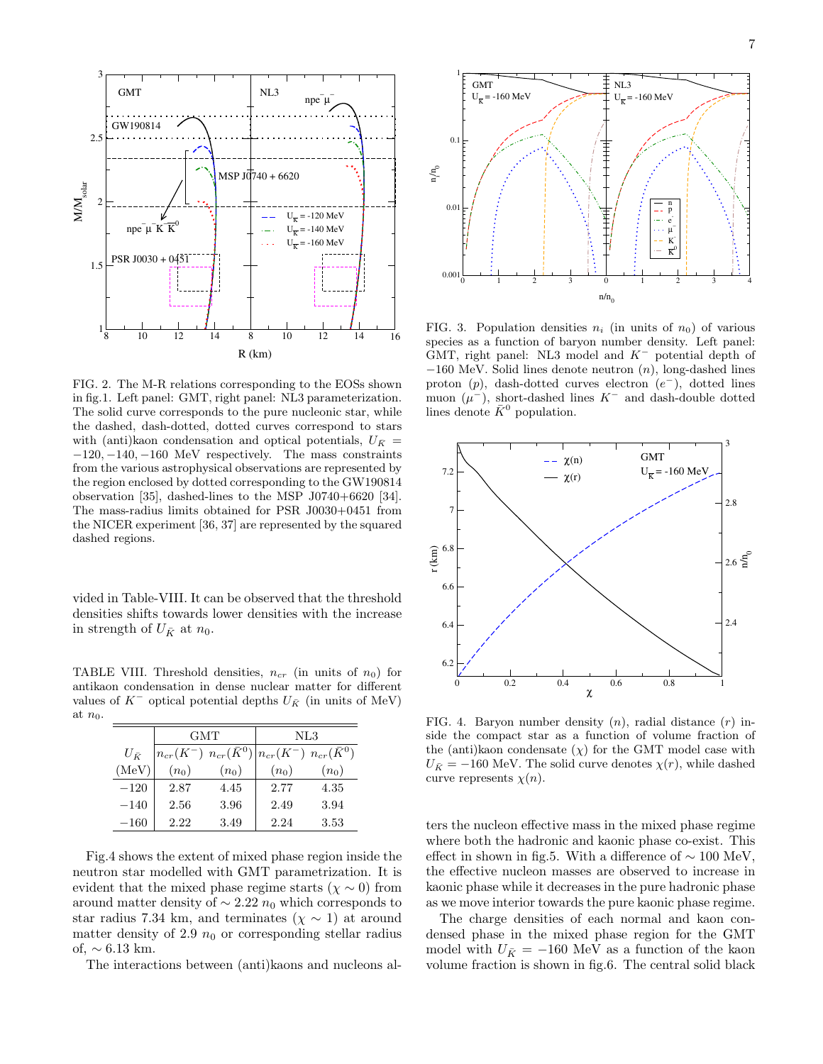

FIG. 2. The M-R relations corresponding to the EOSs shown in fig.1. Left panel: GMT, right panel: NL3 parameterization. The solid curve corresponds to the pure nucleonic star, while the dashed, dash-dotted, dotted curves correspond to stars with (anti)kaon condensation and optical potentials,  $U_{\bar{K}}$  = −120, −140, −160 MeV respectively. The mass constraints from the various astrophysical observations are represented by the region enclosed by dotted corresponding to the GW190814 observation [35], dashed-lines to the MSP J0740+6620 [34]. The mass-radius limits obtained for PSR J0030+0451 from the NICER experiment [36, 37] are represented by the squared dashed regions.

vided in Table-VIII. It can be observed that the threshold densities shifts towards lower densities with the increase in strength of  $U_{\bar{K}}$  at  $n_0$ .

TABLE VIII. Threshold densities,  $n_{cr}$  (in units of  $n_0$ ) for antikaon condensation in dense nuclear matter for different values of  $K^-$  optical potential depths  $U_{\bar{K}}$  (in units of MeV) at  $n_0$ .

|               | <b>GMT</b> |         | NL3     |                                                                     |  |  |
|---------------|------------|---------|---------|---------------------------------------------------------------------|--|--|
| $U_{\bar{K}}$ |            |         |         | $n_{cr}(K^-)$ $n_{cr}(\bar{K}^0)$ $n_{cr}(K^-)$ $n_{cr}(\bar{K}^0)$ |  |  |
| (MeV)         | $(n_0)$    | $(n_0)$ | $(n_0)$ | $(n_0)$                                                             |  |  |
| $-120$        | 2.87       | 4.45    | 2.77    | 4.35                                                                |  |  |
| $-140$        | 2.56       | 3.96    | 2.49    | 3.94                                                                |  |  |
| $-160\,$      | 2.22       | 3.49    | 2.24    | 3.53                                                                |  |  |

Fig.4 shows the extent of mixed phase region inside the neutron star modelled with GMT parametrization. It is evident that the mixed phase regime starts ( $\chi \sim 0$ ) from around matter density of  $\sim 2.22 n_0$  which corresponds to star radius 7.34 km, and terminates ( $\chi \sim 1$ ) at around matter density of 2.9  $n_0$  or corresponding stellar radius of,  $\sim 6.13$  km.

The interactions between (anti)kaons and nucleons al-



FIG. 3. Population densities  $n_i$  (in units of  $n_0$ ) of various species as a function of baryon number density. Left panel: GMT, right panel: NL3 model and  $K^-$  potential depth of  $-160$  MeV. Solid lines denote neutron  $(n)$ , long-dashed lines proton  $(p)$ , dash-dotted curves electron  $(e^-)$ , dotted lines muon  $(\mu^-)$ , short-dashed lines K<sup>-</sup> and dash-double dotted lines denote  $\bar{K}^0$  population.



FIG. 4. Baryon number density  $(n)$ , radial distance  $(r)$  inside the compact star as a function of volume fraction of the (anti)kaon condensate  $(\chi)$  for the GMT model case with  $U_{\bar{K}} = -160$  MeV. The solid curve denotes  $\chi(r)$ , while dashed curve represents  $\chi(n)$ .

ters the nucleon effective mass in the mixed phase regime where both the hadronic and kaonic phase co-exist. This effect in shown in fig.5. With a difference of  $\sim 100$  MeV, the effective nucleon masses are observed to increase in kaonic phase while it decreases in the pure hadronic phase as we move interior towards the pure kaonic phase regime.

The charge densities of each normal and kaon condensed phase in the mixed phase region for the GMT model with  $U_{\bar K}$  =  $-160$  MeV as a function of the kaon volume fraction is shown in fig.6. The central solid black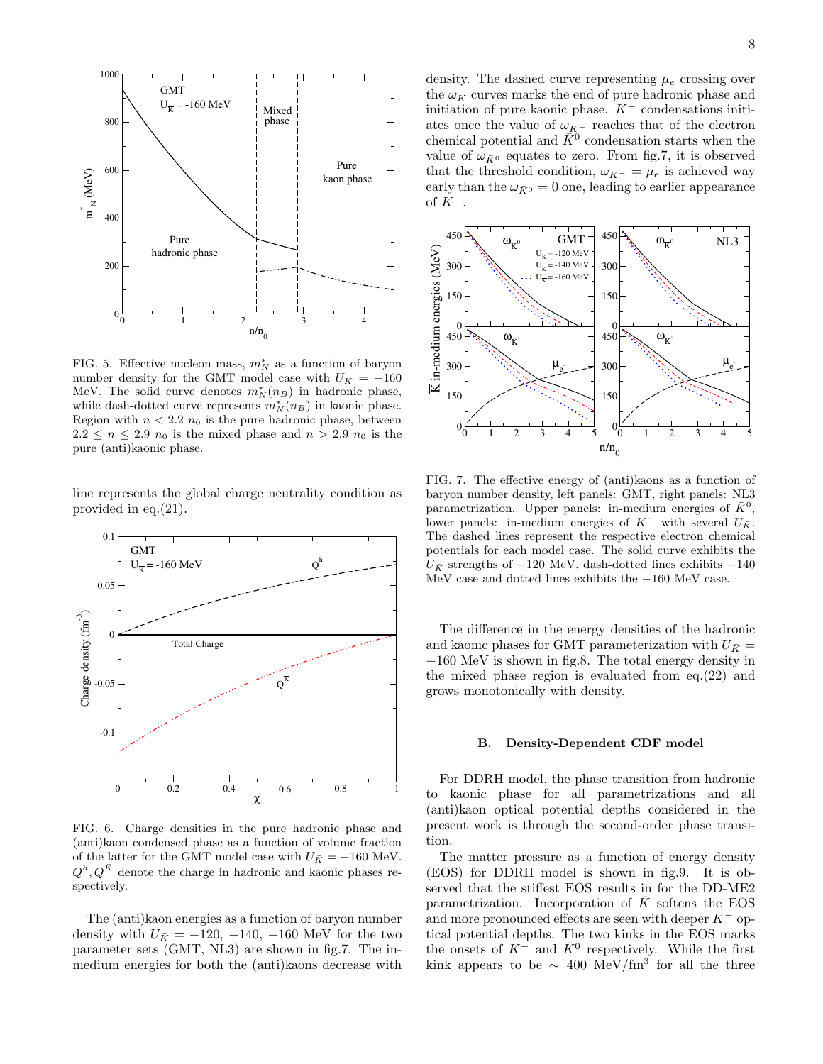

FIG. 5. Effective nucleon mass,  $m_N^*$  as a function of baryon number density for the GMT model case with  $U_{\bar{K}} = -160$ MeV. The solid curve denotes  $m_N^*(n)$  in hadronic phase, while dash-dotted curve represents  $m_N^*(n)$  in kaonic phase. Region with  $n < 2.2 n_0$  is the pure hadronic phase, between  $2.2 \leq n \leq 2.9$   $n_0$  is the mixed phase and  $n > 2.9$   $n_0$  is the pure (anti)kaonic phase.

line represents the global charge neutrality condition as provided in eq.(21).



FIG. 6. Charge densities in the pure hadronic phase and (anti)kaon condensed phase as a function of volume fraction of the latter for the GMT model case with  $U_{\bar{K}} = -160$  MeV.  $Q^h, Q^{\overline{K}}$  denote the charge in hadronic and kaonic phases respectively.

The (anti)kaon energies as a function of baryon number density with  $U_{\bar{K}} = -120, -140, -160$  MeV for the two parameter sets (GMT, NL3) are shown in fig.7. The inmedium energies for both the (anti)kaons decrease with density. The dashed curve representing  $\mu_e$  crossing over the  $\omega_{\bar{K}}$  curves marks the end of pure hadronic phase and initiation of pure kaonic phase.  $K^-$  condensations initiates once the value of  $\omega_{K^-}$  reaches that of the electron chemical potential and  $\tilde{K}^0$  condensation starts when the value of  $\omega_{\bar{K}^0}$  equates to zero. From fig.7, it is observed that the threshold condition,  $\omega_{K^-} = \mu_e$  is achieved way early than the  $\omega_{\bar{K}^0} = 0$  one, leading to earlier appearance of  $K^-$ .



FIG. 7. The effective energy of (anti)kaons as a function of baryon number density, left panels: GMT, right panels: NL3 parametrization. Upper panels: in-medium energies of  $\bar{K}^0$ , lower panels: in-medium energies of  $K^-$  with several  $U_{\bar{K}}$ . The dashed lines represent the respective electron chemical potentials for each model case. The solid curve exhibits the  $U_{\bar{K}}$  strengths of −120 MeV, dash-dotted lines exhibits −140 MeV case and dotted lines exhibits the −160 MeV case.

The difference in the energy densities of the hadronic and kaonic phases for GMT parameterization with  $U_{\bar{K}} =$ −160 MeV is shown in fig.8. The total energy density in the mixed phase region is evaluated from eq.(22) and grows monotonically with density.

### B. Density-Dependent CDF model

For DDRH model, the phase transition from hadronic to kaonic phase for all parametrizations and all (anti)kaon optical potential depths considered in the present work is through the second-order phase transition.

The matter pressure as a function of energy density (EOS) for DDRH model is shown in fig.9. It is observed that the stiffest EOS results in for the DD-ME2 parametrization. Incorporation of  $K$  softens the EOS and more pronounced effects are seen with deeper  $K^-$  optical potential depths. The two kinks in the EOS marks the onsets of  $K^-$  and  $\bar{K}^0$  respectively. While the first kink appears to be  $\sim 400 \text{ MeV}/\text{fm}^3$  for all the three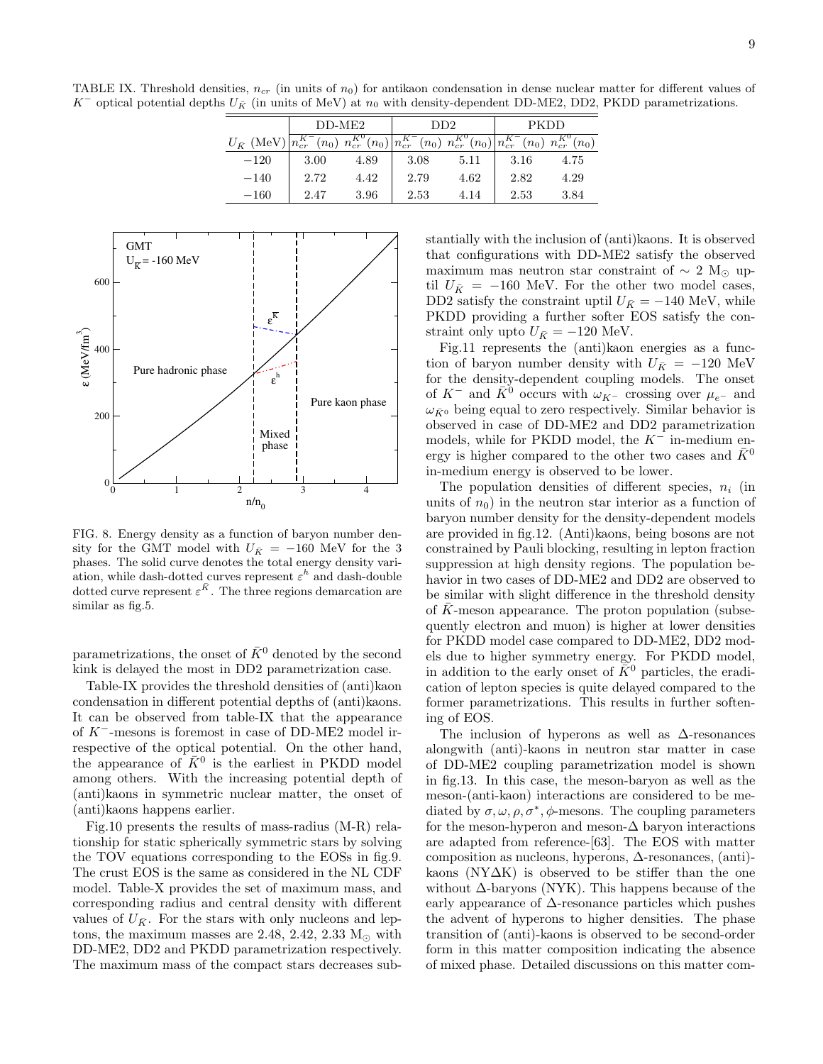TABLE IX. Threshold densities,  $n_{cr}$  (in units of  $n_0$ ) for antikaon condensation in dense nuclear matter for different values of K<sup>−</sup> optical potential depths  $U_{\bar{K}}$  (in units of MeV) at  $n_0$  with density-dependent DD-ME2, DD2, PKDD parametrizations.

|                                                                                                                                                                                          | $DD-ME2$ |      | DD2  |      | <b>PKDD</b> |      |  |
|------------------------------------------------------------------------------------------------------------------------------------------------------------------------------------------|----------|------|------|------|-------------|------|--|
| $U_{\bar{K}}(\text{MeV})\overline{n_{cr}^{K^-}(n_0)}\ n_{cr}^{\bar{K}^0}(n_0)\overline{n_{cr}^{K^-}(n_0)}\ n_{cr}^{\bar{K}^0}(n_0)\overline{n_{cr}^{K^-}(n_0)}\ n_{cr}^{\bar{K}^0}(n_0)$ |          |      |      |      |             |      |  |
| $-120$                                                                                                                                                                                   | 3.00     | 4.89 | 3.08 | 5.11 | 3.16        | 4.75 |  |
| $-140$                                                                                                                                                                                   | 2.72     | 4.42 | 2.79 | 4.62 | 2.82        | 4.29 |  |
| $-160$                                                                                                                                                                                   | 2.47     | 3.96 | 2.53 | 4.14 | 2.53        | 3.84 |  |



FIG. 8. Energy density as a function of baryon number density for the GMT model with  $U_{\bar{K}}$  = −160 MeV for the 3 phases. The solid curve denotes the total energy density variation, while dash-dotted curves represent  $\varepsilon^h$  and dash-double dotted curve represent  $\varepsilon^{\bar{K}}$ . The three regions demarcation are similar as fig.5.

parametrizations, the onset of  $\bar{K}^0$  denoted by the second kink is delayed the most in DD2 parametrization case.

Table-IX provides the threshold densities of (anti)kaon condensation in different potential depths of (anti)kaons. It can be observed from table-IX that the appearance of K<sup>−</sup>-mesons is foremost in case of DD-ME2 model irrespective of the optical potential. On the other hand, the appearance of  $\bar{K}^0$  is the earliest in PKDD model among others. With the increasing potential depth of (anti)kaons in symmetric nuclear matter, the onset of (anti)kaons happens earlier.

Fig.10 presents the results of mass-radius (M-R) relationship for static spherically symmetric stars by solving the TOV equations corresponding to the EOSs in fig.9. The crust EOS is the same as considered in the NL CDF model. Table-X provides the set of maximum mass, and corresponding radius and central density with different values of  $U_{\bar{K}}$ . For the stars with only nucleons and leptons, the maximum masses are 2.48, 2.42, 2.33  $M_{\odot}$  with DD-ME2, DD2 and PKDD parametrization respectively. The maximum mass of the compact stars decreases substantially with the inclusion of (anti)kaons. It is observed that configurations with DD-ME2 satisfy the observed maximum mas neutron star constraint of  $\sim 2 \text{ M}_\odot$  uptil  $U_{\bar{K}}$  = −160 MeV. For the other two model cases, DD2 satisfy the constraint uptil  $U_{\bar{K}} = -140$  MeV, while PKDD providing a further softer EOS satisfy the constraint only upto  $U_{\bar K}=-120$  MeV.

Fig.11 represents the (anti)kaon energies as a function of baryon number density with  $U_{\bar{K}}$  = −120 MeV for the density-dependent coupling models. The onset of  $K^-$  and  $\bar{K}^0$  occurs with  $\omega_{K^-}$  crossing over  $\mu_{e^-}$  and  $\omega_{\bar{K}^0}$  being equal to zero respectively. Similar behavior is observed in case of DD-ME2 and DD2 parametrization models, while for PKDD model, the  $K^-$  in-medium energy is higher compared to the other two cases and  $K^0$ in-medium energy is observed to be lower.

The population densities of different species,  $n_i$  (in units of  $n_0$ ) in the neutron star interior as a function of baryon number density for the density-dependent models are provided in fig.12. (Anti)kaons, being bosons are not constrained by Pauli blocking, resulting in lepton fraction suppression at high density regions. The population behavior in two cases of DD-ME2 and DD2 are observed to be similar with slight difference in the threshold density of  $\overline{K}$ -meson appearance. The proton population (subsequently electron and muon) is higher at lower densities for PKDD model case compared to DD-ME2, DD2 models due to higher symmetry energy. For PKDD model, in addition to the early onset of  $\bar{K}^0$  particles, the eradication of lepton species is quite delayed compared to the former parametrizations. This results in further softening of EOS.

The inclusion of hyperons as well as  $\Delta$ -resonances alongwith (anti)-kaons in neutron star matter in case of DD-ME2 coupling parametrization model is shown in fig.13. In this case, the meson-baryon as well as the meson-(anti-kaon) interactions are considered to be mediated by  $\sigma, \omega, \rho, \sigma^*, \phi$ -mesons. The coupling parameters for the meson-hyperon and meson- $\Delta$  baryon interactions are adapted from reference-[63]. The EOS with matter composition as nucleons, hyperons, ∆-resonances, (anti) kaons (NY∆K) is observed to be stiffer than the one without  $\Delta$ -baryons (NYK). This happens because of the early appearance of  $\Delta$ -resonance particles which pushes the advent of hyperons to higher densities. The phase transition of (anti)-kaons is observed to be second-order form in this matter composition indicating the absence of mixed phase. Detailed discussions on this matter com-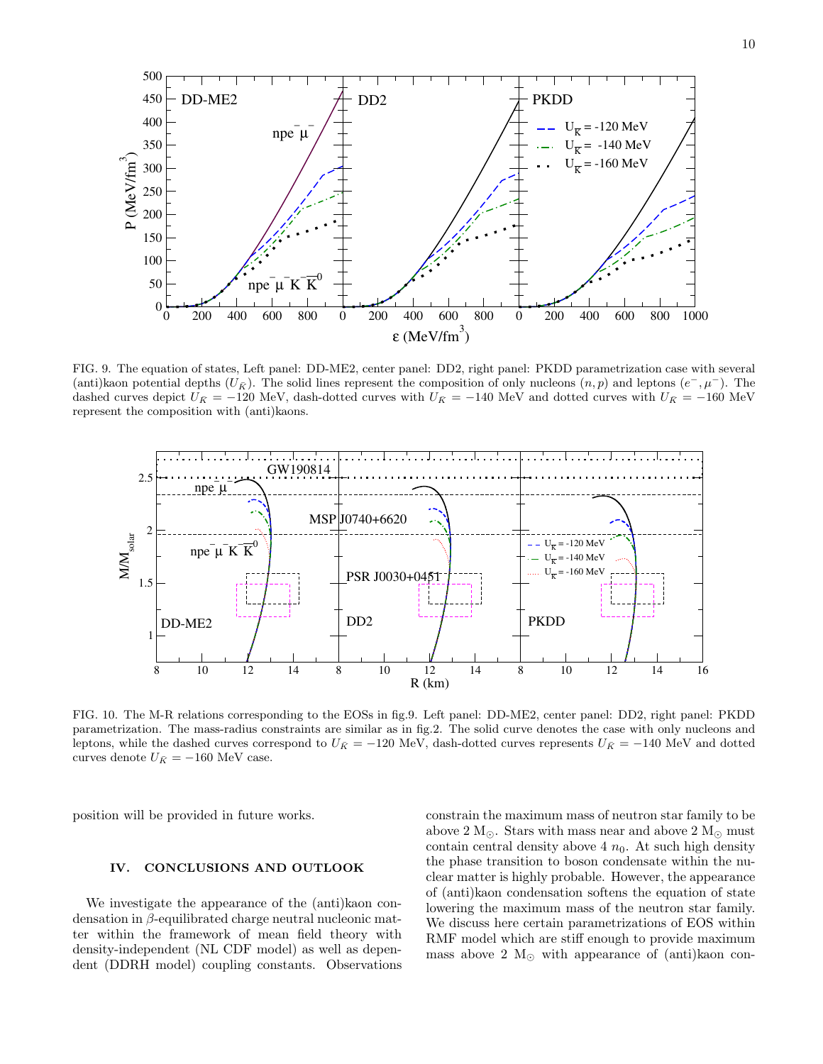

FIG. 9. The equation of states, Left panel: DD-ME2, center panel: DD2, right panel: PKDD parametrization case with several (anti)kaon potential depths  $(U_{\bar{K}})$ . The solid lines represent the composition of only nucleons  $(n, p)$  and leptons  $(e^-, \mu^-)$ . The dashed curves depict  $U_{\bar{K}} = -120$  MeV, dash-dotted curves with  $U_{\bar{K}} = -140$  MeV and dotted curves with  $U_{\bar{K}} = -160$  MeV represent the composition with (anti)kaons.



FIG. 10. The M-R relations corresponding to the EOSs in fig.9. Left panel: DD-ME2, center panel: DD2, right panel: PKDD parametrization. The mass-radius constraints are similar as in fig.2. The solid curve denotes the case with only nucleons and leptons, while the dashed curves correspond to  $U_{\bar{K}} = -120$  MeV, dash-dotted curves represents  $U_{\bar{K}} = -140$  MeV and dotted curves denote  $U_{\bar K}=-160$  MeV case.

position will be provided in future works.

# IV. CONCLUSIONS AND OUTLOOK

We investigate the appearance of the (anti)kaon condensation in β-equilibrated charge neutral nucleonic matter within the framework of mean field theory with density-independent (NL CDF model) as well as dependent (DDRH model) coupling constants. Observations

constrain the maximum mass of neutron star family to be above 2 M<sub>☉</sub>. Stars with mass near and above 2 M<sub>☉</sub> must contain central density above 4  $n_0$ . At such high density the phase transition to boson condensate within the nuclear matter is highly probable. However, the appearance of (anti)kaon condensation softens the equation of state lowering the maximum mass of the neutron star family. We discuss here certain parametrizations of EOS within RMF model which are stiff enough to provide maximum mass above 2  $M_{\odot}$  with appearance of (anti)kaon con-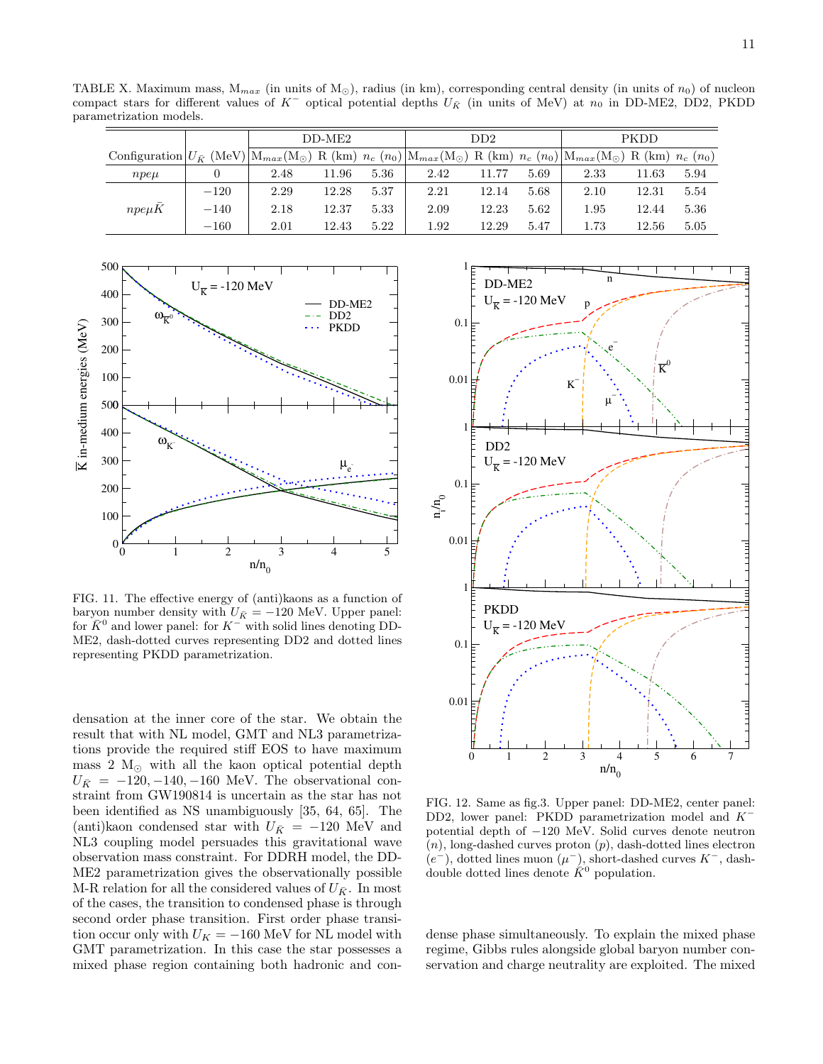TABLE X. Maximum mass,  $M_{max}$  (in units of  $M_{\odot}$ ), radius (in km), corresponding central density (in units of  $n_0$ ) of nucleon compact stars for different values of K<sup>−</sup> optical potential depths  $U_{\bar{K}}$  (in units of MeV) at  $n_0$  in DD-ME2, DD2, PKDD parametrization models.

|                                                                                                                                                                                                                             |        | $DD-ME2$ |       |      | DD2  |       |      | PKDD |       |      |
|-----------------------------------------------------------------------------------------------------------------------------------------------------------------------------------------------------------------------------|--------|----------|-------|------|------|-------|------|------|-------|------|
| Configuration $ U_{\tilde{K}}(\text{MeV}) M_{max}(\text{M}_{\odot})$ R (km) $n_c$ (n <sub>0</sub> ) $ M_{max}(\text{M}_{\odot})$ R (km) $n_c$ (n <sub>0</sub> ) $ M_{max}(\text{M}_{\odot})$ R (km) $n_c$ (n <sub>0</sub> ) |        |          |       |      |      |       |      |      |       |      |
| $npe\mu$                                                                                                                                                                                                                    |        | 2.48     | 11.96 | 5.36 | 2.42 | 11.77 | 5.69 | 2.33 | 11.63 | 5.94 |
|                                                                                                                                                                                                                             | $-120$ | 2.29     | 12.28 | 5.37 | 2.21 | 12.14 | 5.68 | 2.10 | 12.31 | 5.54 |
| $npe\mu K$                                                                                                                                                                                                                  | $-140$ | 2.18     | 12.37 | 5.33 | 2.09 | 12.23 | 5.62 | 1.95 | 12.44 | 5.36 |
|                                                                                                                                                                                                                             | $-160$ | 2.01     | 12.43 | 5.22 | 1.92 | 12.29 | 5.47 | 1.73 | 12.56 | 5.05 |



FIG. 11. The effective energy of (anti)kaons as a function of baryon number density with  $U_{\bar{K}} = -120$  MeV. Upper panel: for  $\overline{K}^0$  and lower panel: for  $K^-$  with solid lines denoting DD-ME2, dash-dotted curves representing DD2 and dotted lines representing PKDD parametrization.

densation at the inner core of the star. We obtain the result that with NL model, GMT and NL3 parametrizations provide the required stiff EOS to have maximum mass 2  $M_{\odot}$  with all the kaon optical potential depth  $U_{\bar{K}} = -120, -140, -160$  MeV. The observational constraint from GW190814 is uncertain as the star has not been identified as NS unambiguously [35, 64, 65]. The (anti)kaon condensed star with  $U_{\bar{K}}$  = −120 MeV and NL3 coupling model persuades this gravitational wave observation mass constraint. For DDRH model, the DD-ME2 parametrization gives the observationally possible M-R relation for all the considered values of  $U_{\bar{K}}$ . In most of the cases, the transition to condensed phase is through second order phase transition. First order phase transition occur only with  $U_K = -160$  MeV for NL model with GMT parametrization. In this case the star possesses a mixed phase region containing both hadronic and con-



FIG. 12. Same as fig.3. Upper panel: DD-ME2, center panel: DD2, lower panel: PKDD parametrization model and K<sup>−</sup> potential depth of −120 MeV. Solid curves denote neutron  $(n)$ , long-dashed curves proton  $(p)$ , dash-dotted lines electron  $(e^-)$ , dotted lines muon  $(\mu^-)$ , short-dashed curves  $K^-$ , dashdouble dotted lines denote  $\tilde{K}^0$  population.

dense phase simultaneously. To explain the mixed phase regime, Gibbs rules alongside global baryon number conservation and charge neutrality are exploited. The mixed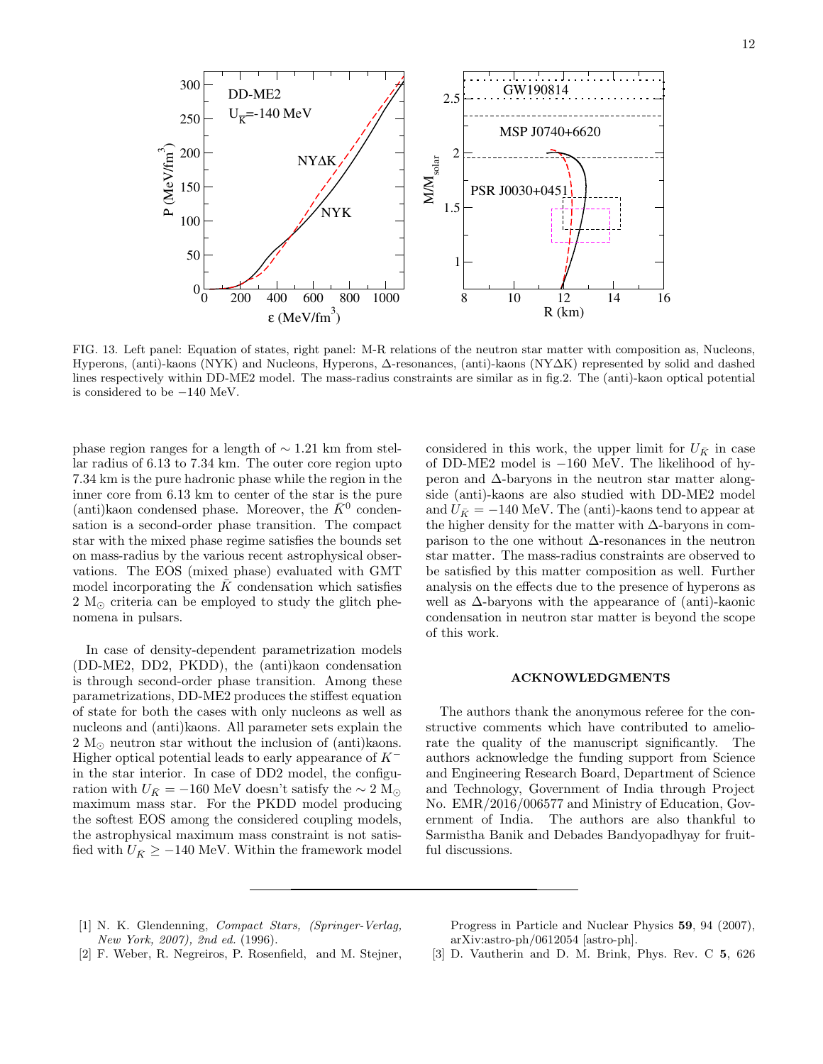

FIG. 13. Left panel: Equation of states, right panel: M-R relations of the neutron star matter with composition as, Nucleons, Hyperons, (anti)-kaons (NYK) and Nucleons, Hyperons, ∆-resonances, (anti)-kaons (NY∆K) represented by solid and dashed lines respectively within DD-ME2 model. The mass-radius constraints are similar as in fig.2. The (anti)-kaon optical potential is considered to be −140 MeV.

phase region ranges for a length of ∼ 1.21 km from stellar radius of 6.13 to 7.34 km. The outer core region upto 7.34 km is the pure hadronic phase while the region in the inner core from 6.13 km to center of the star is the pure (anti)kaon condensed phase. Moreover, the  $\overline{K}^0$  condensation is a second-order phase transition. The compact star with the mixed phase regime satisfies the bounds set on mass-radius by the various recent astrophysical observations. The EOS (mixed phase) evaluated with GMT model incorporating the  $\bar{K}$  condensation which satisfies 2  $M_{\odot}$  criteria can be employed to study the glitch phenomena in pulsars.

In case of density-dependent parametrization models (DD-ME2, DD2, PKDD), the (anti)kaon condensation is through second-order phase transition. Among these parametrizations, DD-ME2 produces the stiffest equation of state for both the cases with only nucleons as well as nucleons and (anti)kaons. All parameter sets explain the 2  $M_{\odot}$  neutron star without the inclusion of (anti)kaons. Higher optical potential leads to early appearance of  $K^$ in the star interior. In case of DD2 model, the configuration with  $U_{\bar{K}} = -160$  MeV doesn't satisfy the ~ 2 M<sub>☉</sub> maximum mass star. For the PKDD model producing the softest EOS among the considered coupling models, the astrophysical maximum mass constraint is not satisfied with  $U_{\bar{K}} \geq -140$  MeV. Within the framework model

considered in this work, the upper limit for  $U_{\bar{K}}$  in case of DD-ME2 model is −160 MeV. The likelihood of hyperon and ∆-baryons in the neutron star matter alongside (anti)-kaons are also studied with DD-ME2 model and  $U_{\bar{K}} = -140$  MeV. The (anti)-kaons tend to appear at the higher density for the matter with ∆-baryons in comparison to the one without ∆-resonances in the neutron star matter. The mass-radius constraints are observed to be satisfied by this matter composition as well. Further analysis on the effects due to the presence of hyperons as well as  $\Delta$ -baryons with the appearance of (anti)-kaonic condensation in neutron star matter is beyond the scope of this work.

# ACKNOWLEDGMENTS

The authors thank the anonymous referee for the constructive comments which have contributed to ameliorate the quality of the manuscript significantly. The authors acknowledge the funding support from Science and Engineering Research Board, Department of Science and Technology, Government of India through Project No. EMR/2016/006577 and Ministry of Education, Government of India. The authors are also thankful to Sarmistha Banik and Debades Bandyopadhyay for fruitful discussions.

[1] N. K. Glendenning, Compact Stars, (Springer-Verlag, New York, 2007), 2nd ed. (1996).

Progress in Particle and Nuclear Physics 59, 94 (2007), arXiv:astro-ph/0612054 [astro-ph].

- [2] F. Weber, R. Negreiros, P. Rosenfield, and M. Stejner,
- [3] D. Vautherin and D. M. Brink, Phys. Rev. C 5, 626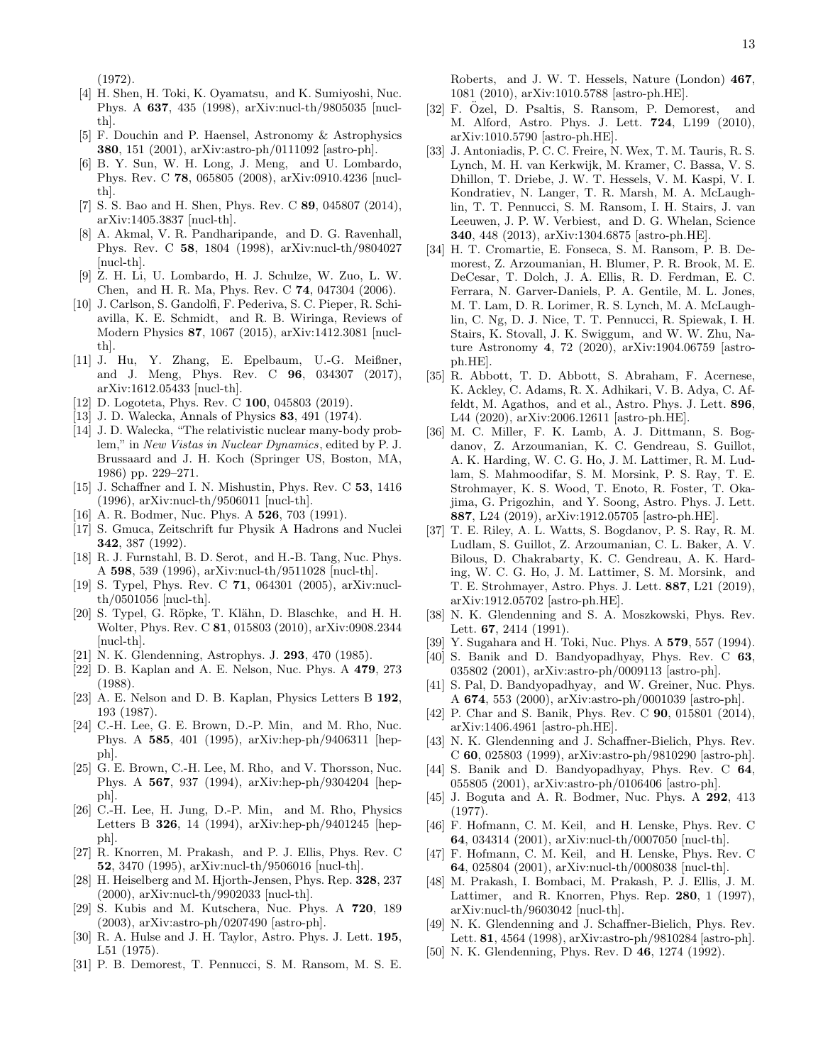(1972).

- [4] H. Shen, H. Toki, K. Oyamatsu, and K. Sumiyoshi, Nuc. Phys. A 637, 435 (1998), arXiv:nucl-th/9805035 [nuclth].
- [5] F. Douchin and P. Haensel, Astronomy & Astrophysics 380, 151 (2001), arXiv:astro-ph/0111092 [astro-ph].
- [6] B. Y. Sun, W. H. Long, J. Meng, and U. Lombardo, Phys. Rev. C 78, 065805 (2008), arXiv:0910.4236 [nuclth].
- [7] S. S. Bao and H. Shen, Phys. Rev. C 89, 045807 (2014), arXiv:1405.3837 [nucl-th].
- [8] A. Akmal, V. R. Pandharipande, and D. G. Ravenhall, Phys. Rev. C 58, 1804 (1998), arXiv:nucl-th/9804027 [nucl-th].
- [9] Z. H. Li, U. Lombardo, H. J. Schulze, W. Zuo, L. W. Chen, and H. R. Ma, Phys. Rev. C 74, 047304 (2006).
- [10] J. Carlson, S. Gandolfi, F. Pederiva, S. C. Pieper, R. Schiavilla, K. E. Schmidt, and R. B. Wiringa, Reviews of Modern Physics 87, 1067 (2015), arXiv:1412.3081 [nuclth].
- [11] J. Hu, Y. Zhang, E. Epelbaum, U.-G. Meißner, and J. Meng, Phys. Rev. C 96, 034307 (2017), arXiv:1612.05433 [nucl-th].
- [12] D. Logoteta, Phys. Rev. C **100**, 045803 (2019).
- [13] J. D. Walecka, Annals of Physics 83, 491 (1974).
- [14] J.D. Walecka, "The relativistic nuclear many-body problem," in New Vistas in Nuclear Dynamics, edited by P. J. Brussaard and J. H. Koch (Springer US, Boston, MA, 1986) pp. 229–271.
- [15] J. Schaffner and I. N. Mishustin, Phys. Rev. C 53, 1416 (1996), arXiv:nucl-th/9506011 [nucl-th].
- [16] A. R. Bodmer, Nuc. Phys. A **526**, 703 (1991).
- [17] S. Gmuca, Zeitschrift fur Physik A Hadrons and Nuclei 342, 387 (1992).
- [18] R. J. Furnstahl, B. D. Serot, and H.-B. Tang, Nuc. Phys. A 598, 539 (1996), arXiv:nucl-th/9511028 [nucl-th].
- [19] S. Typel, Phys. Rev. C 71, 064301 (2005), arXiv:nuclth/0501056 [nucl-th].
- [20] S. Typel, G. Röpke, T. Klähn, D. Blaschke, and H. H. Wolter, Phys. Rev. C 81, 015803 (2010), arXiv:0908.2344 [nucl-th].
- [21] N. K. Glendenning, Astrophys. J. 293, 470 (1985).
- [22] D. B. Kaplan and A. E. Nelson, Nuc. Phys. A 479, 273 (1988).
- [23] A. E. Nelson and D. B. Kaplan, Physics Letters B 192, 193 (1987).
- [24] C.-H. Lee, G. E. Brown, D.-P. Min, and M. Rho, Nuc. Phys. A 585, 401 (1995), arXiv:hep-ph/9406311 [hepph].
- [25] G. E. Brown, C.-H. Lee, M. Rho, and V. Thorsson, Nuc. Phys. A 567, 937 (1994), arXiv:hep-ph/9304204 [hepph].
- [26] C.-H. Lee, H. Jung, D.-P. Min, and M. Rho, Physics Letters B 326, 14 (1994), arXiv:hep-ph/9401245 [hepph].
- [27] R. Knorren, M. Prakash, and P. J. Ellis, Phys. Rev. C 52, 3470 (1995), arXiv:nucl-th/9506016 [nucl-th].
- [28] H. Heiselberg and M. Hjorth-Jensen, Phys. Rep. 328, 237 (2000), arXiv:nucl-th/9902033 [nucl-th].
- [29] S. Kubis and M. Kutschera, Nuc. Phys. A 720, 189 (2003), arXiv:astro-ph/0207490 [astro-ph].
- [30] R. A. Hulse and J. H. Taylor, Astro. Phys. J. Lett. 195, L51 (1975).
- [31] P. B. Demorest, T. Pennucci, S. M. Ransom, M. S. E.

Roberts, and J. W. T. Hessels, Nature (London) 467, 1081 (2010), arXiv:1010.5788 [astro-ph.HE].

- [32] F. Özel, D. Psaltis, S. Ransom, P. Demorest, and M. Alford, Astro. Phys. J. Lett. 724, L199 (2010), arXiv:1010.5790 [astro-ph.HE].
- [33] J. Antoniadis, P. C. C. Freire, N. Wex, T. M. Tauris, R. S. Lynch, M. H. van Kerkwijk, M. Kramer, C. Bassa, V. S. Dhillon, T. Driebe, J. W. T. Hessels, V. M. Kaspi, V. I. Kondratiev, N. Langer, T. R. Marsh, M. A. McLaughlin, T. T. Pennucci, S. M. Ransom, I. H. Stairs, J. van Leeuwen, J. P. W. Verbiest, and D. G. Whelan, Science 340, 448 (2013), arXiv:1304.6875 [astro-ph.HE].
- [34] H. T. Cromartie, E. Fonseca, S. M. Ransom, P. B. Demorest, Z. Arzoumanian, H. Blumer, P. R. Brook, M. E. DeCesar, T. Dolch, J. A. Ellis, R. D. Ferdman, E. C. Ferrara, N. Garver-Daniels, P. A. Gentile, M. L. Jones, M. T. Lam, D. R. Lorimer, R. S. Lynch, M. A. McLaughlin, C. Ng, D. J. Nice, T. T. Pennucci, R. Spiewak, I. H. Stairs, K. Stovall, J. K. Swiggum, and W. W. Zhu, Nature Astronomy 4, 72 (2020), arXiv:1904.06759 [astroph.HE].
- [35] R. Abbott, T. D. Abbott, S. Abraham, F. Acernese, K. Ackley, C. Adams, R. X. Adhikari, V. B. Adya, C. Affeldt, M. Agathos, and et al., Astro. Phys. J. Lett. 896, L44 (2020), arXiv:2006.12611 [astro-ph.HE].
- [36] M. C. Miller, F. K. Lamb, A. J. Dittmann, S. Bogdanov, Z. Arzoumanian, K. C. Gendreau, S. Guillot, A. K. Harding, W. C. G. Ho, J. M. Lattimer, R. M. Ludlam, S. Mahmoodifar, S. M. Morsink, P. S. Ray, T. E. Strohmayer, K. S. Wood, T. Enoto, R. Foster, T. Okajima, G. Prigozhin, and Y. Soong, Astro. Phys. J. Lett. 887, L24 (2019), arXiv:1912.05705 [astro-ph.HE].
- [37] T. E. Riley, A. L. Watts, S. Bogdanov, P. S. Ray, R. M. Ludlam, S. Guillot, Z. Arzoumanian, C. L. Baker, A. V. Bilous, D. Chakrabarty, K. C. Gendreau, A. K. Harding, W. C. G. Ho, J. M. Lattimer, S. M. Morsink, and T. E. Strohmayer, Astro. Phys. J. Lett. 887, L21 (2019), arXiv:1912.05702 [astro-ph.HE].
- [38] N. K. Glendenning and S. A. Moszkowski, Phys. Rev. Lett. 67, 2414 (1991).
- [39] Y. Sugahara and H. Toki, Nuc. Phys. A 579, 557 (1994).
- [40] S. Banik and D. Bandyopadhyay, Phys. Rev. C 63, 035802 (2001), arXiv:astro-ph/0009113 [astro-ph].
- [41] S. Pal, D. Bandyopadhyay, and W. Greiner, Nuc. Phys. A 674, 553 (2000), arXiv:astro-ph/0001039 [astro-ph].
- [42] P. Char and S. Banik, Phys. Rev. C **90**, 015801 (2014), arXiv:1406.4961 [astro-ph.HE].
- [43] N. K. Glendenning and J. Schaffner-Bielich, Phys. Rev. C 60, 025803 (1999), arXiv:astro-ph/9810290 [astro-ph].
- [44] S. Banik and D. Bandyopadhyay, Phys. Rev. C 64, 055805 (2001), arXiv:astro-ph/0106406 [astro-ph].
- [45] J. Boguta and A. R. Bodmer, Nuc. Phys. A 292, 413 (1977).
- [46] F. Hofmann, C. M. Keil, and H. Lenske, Phys. Rev. C 64, 034314 (2001), arXiv:nucl-th/0007050 [nucl-th].
- [47] F. Hofmann, C. M. Keil, and H. Lenske, Phys. Rev. C 64, 025804 (2001), arXiv:nucl-th/0008038 [nucl-th].
- [48] M. Prakash, I. Bombaci, M. Prakash, P. J. Ellis, J. M. Lattimer, and R. Knorren, Phys. Rep. 280, 1 (1997), arXiv:nucl-th/9603042 [nucl-th].
- [49] N. K. Glendenning and J. Schaffner-Bielich, Phys. Rev. Lett. 81, 4564 (1998), arXiv:astro-ph/9810284 [astro-ph].
- [50] N. K. Glendenning, Phys. Rev. D 46, 1274 (1992).